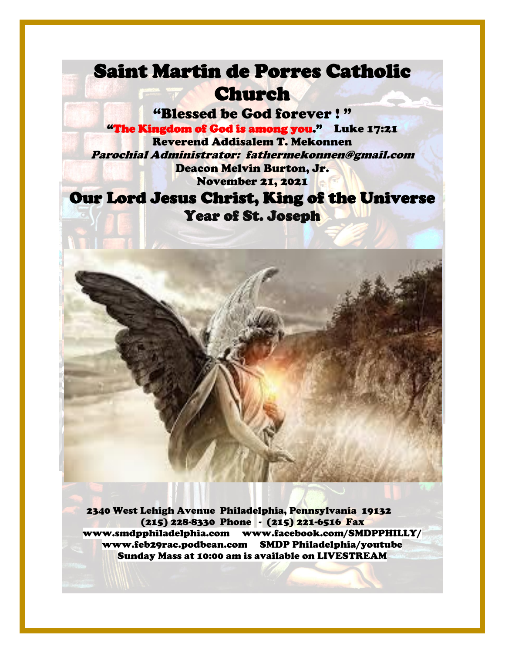# Saint Martin de Porres Catholic Church

"Blessed be God forever ! " "The Kingdom of God is among you." Luke 17:21 Reverend Addisalem T. Mekonnen Parochial Administrator: fathermekonnen@gmail.com Deacon Melvin Burton, Jr. November 21, 2021

## Our Lord Jesus Christ, King of the Universe Year of St. Joseph



 2340 West Lehigh Avenue Philadelphia, Pennsylvania 19132 (215) 228-8330 Phone - (215) 221-6516 Fax [www.smdpphiladelphia.com](http://www.smdpphiladelphia.com/) [www.facebook.com/SMDPPHILLY/](file:///F:/2019%20Bulletins/www.facebook.com/SMDPPHILLY/) [www.feb29rac.podbean.com](http://www.feb29rac.podbean.com/) SMDP Philadelphia/youtube Sunday Mass at 10:00 am is available on LIVESTREAM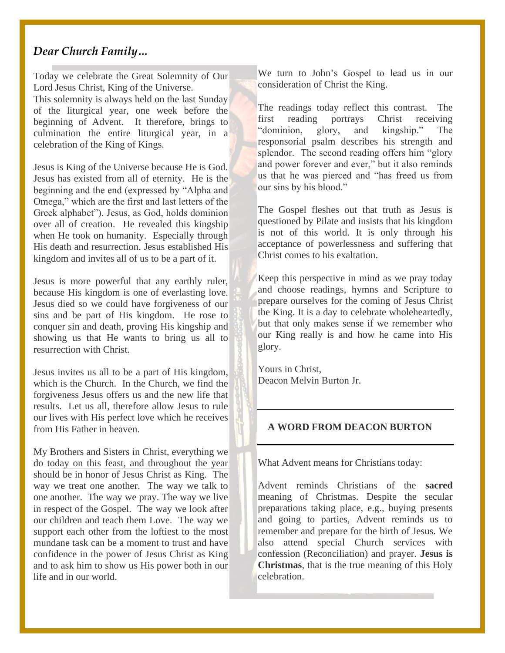#### *Dear Church Family…*

Today we celebrate the Great Solemnity of Our Lord Jesus Christ, King of the Universe.

This solemnity is always held on the last Sunday of the liturgical year, one week before the beginning of Advent. It therefore, brings to culmination the entire liturgical year, in a celebration of the King of Kings.

Jesus is King of the Universe because He is God. Jesus has existed from all of eternity. He is the beginning and the end (expressed by "Alpha and Omega," which are the first and last letters of the Greek alphabet"). Jesus, as God, holds dominion over all of creation. He revealed this kingship when He took on humanity. Especially through His death and resurrection. Jesus established His kingdom and invites all of us to be a part of it.

Jesus is more powerful that any earthly ruler, because His kingdom is one of everlasting love. Jesus died so we could have forgiveness of our sins and be part of His kingdom. He rose to conquer sin and death, proving His kingship and showing us that He wants to bring us all to resurrection with Christ.

Jesus invites us all to be a part of His kingdom, which is the Church. In the Church, we find the forgiveness Jesus offers us and the new life that results. Let us all, therefore allow Jesus to rule our lives with His perfect love which he receives from His Father in heaven.

My Brothers and Sisters in Christ, everything we do today on this feast, and throughout the year should be in honor of Jesus Christ as King. The way we treat one another. The way we talk to one another. The way we pray. The way we live in respect of the Gospel. The way we look after our children and teach them Love. The way we support each other from the loftiest to the most mundane task can be a moment to trust and have confidence in the power of Jesus Christ as King and to ask him to show us His power both in our life and in our world.

We turn to John's Gospel to lead us in our consideration of Christ the King.

The readings today reflect this contrast. The first reading portrays Christ receiving "dominion, glory, and kingship." The responsorial psalm describes his strength and splendor. The second reading offers him "glory and power forever and ever," but it also reminds us that he was pierced and "has freed us from our sins by his blood."

The Gospel fleshes out that truth as Jesus is questioned by Pilate and insists that his kingdom is not of this world. It is only through his acceptance of powerlessness and suffering that Christ comes to his exaltation.

Keep this perspective in mind as we pray today and choose readings, hymns and Scripture to prepare ourselves for the coming of Jesus Christ the King. It is a day to celebrate wholeheartedly, but that only makes sense if we remember who our King really is and how he came into His glory.

Yours in Christ, Deacon Melvin Burton Jr.

#### **A WORD FROM DEACON BURTON**

What Advent means for Christians today:

Advent reminds Christians of the **sacred**  meaning of Christmas. Despite the secular preparations taking place, e.g., buying presents and going to parties, Advent reminds us to remember and prepare for the birth of Jesus. We also attend special Church services with confession (Reconciliation) and prayer. **Jesus is Christmas**, that is the true meaning of this Holy celebration.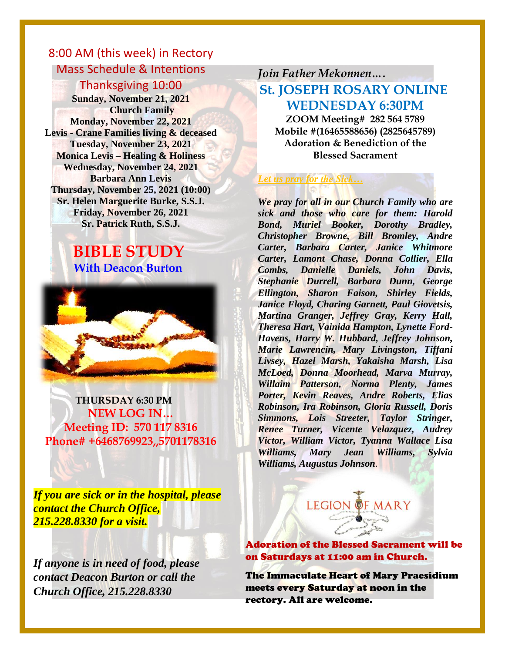## 8:00 AM (this week) in Rectory Mass Schedule & Intentions

#### Thanksgiving 10:00

**Sunday, November 21, 2021 Church Family Monday, November 22, 2021 Levis - Crane Families living & deceased Tuesday, November 23, 2021 Monica Levis – Healing & Holiness Wednesday, November 24, 2021 Barbara Ann Levis Thursday, November 25, 2021 (10:00) Sr. Helen Marguerite Burke, S.S.J. Friday, November 26, 2021 Sr. Patrick Ruth, S.S.J.**

#### **BIBLE STUDY With Deacon Burton**



 **THURSDAY 6:30 PM NEW LOG IN… Meeting ID: 570 117 8316 Phone# +6468769923,,5701178316**

*If you are sick or in the hospital, please contact the Church Office, 215.228.8330 for a visit.*

*If anyone is in need of food, please contact Deacon Burton or call the Church Office, 215.228.8330*

## *Join Father Mekonnen….* **St. JOSEPH ROSARY ONLINE WEDNESDAY 6:30PM**

**ZOOM Meeting# 282 564 5789 Mobile #(16465588656) (2825645789) Adoration & Benediction of the Blessed Sacrament**

#### *Let us pray for the Sick…*

*We pray for all in our Church Family who are sick and those who care for them: Harold Bond, Muriel Booker, Dorothy Bradley, Christopher Browne, Bill Bromley, Andre Carter, Barbara Carter, Janice Whitmore Carter, Lamont Chase, Donna Collier, Ella Combs, Danielle Daniels, John Davis, Stephanie Durrell, Barbara Dunn, George Ellington, Sharon Faison, Shirley Fields, Janice Floyd, Charing Garnett, Paul Giovetsis, Martina Granger, Jeffrey Gray, Kerry Hall, Theresa Hart, Vainida Hampton, Lynette Ford-Havens, Harry W. Hubbard, Jeffrey Johnson, Marie Lawrencin, Mary Livingston, Tiffani Livsey, Hazel Marsh, Yakaisha Marsh, Lisa McLoed, Donna Moorhead, Marva Murray, Willaim Patterson, Norma Plenty, James Porter, Kevin Reaves, Andre Roberts, Elias Robinson, Ira Robinson, Gloria Russell, Doris Simmons, Lois Streeter, Taylor Stringer, Renee Turner, Vicente Velazquez, Audrey Victor, William Victor, Tyanna Wallace Lisa Williams, Mary Jean Williams, Sylvia Williams, Augustus Johnson.*  $\boldsymbol{W}$ 



Adoration of the Blessed Sacrament will be on Saturdays at 11:00 am in Church.

The Immaculate Heart of Mary Praesidium meets every Saturday at noon in the rectory. All are welcome.